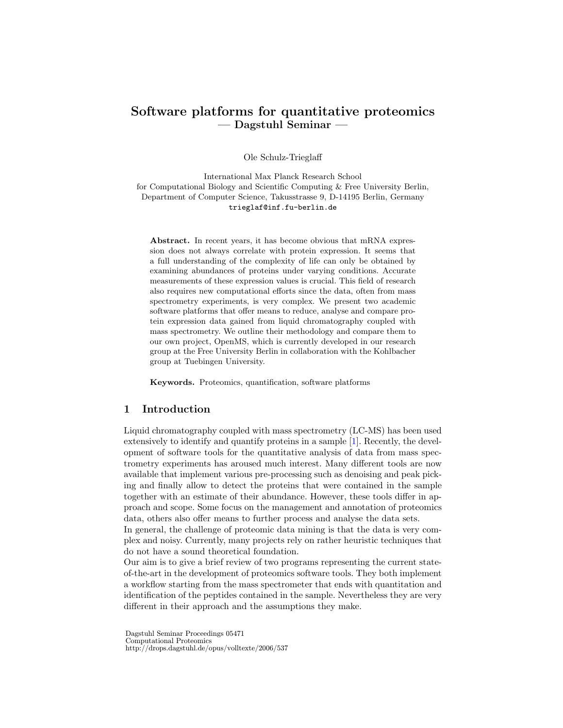# Software platforms for quantitative proteomics — Dagstuhl Seminar —

Ole Schulz-Trieglaff

International Max Planck Research School for Computational Biology and Scientific Computing & Free University Berlin, Department of Computer Science, Takusstrasse 9, D-14195 Berlin, Germany trieglaf@inf.fu-berlin.de

Abstract. In recent years, it has become obvious that mRNA expression does not always correlate with protein expression. It seems that a full understanding of the complexity of life can only be obtained by examining abundances of proteins under varying conditions. Accurate measurements of these expression values is crucial. This field of research also requires new computational efforts since the data, often from mass spectrometry experiments, is very complex. We present two academic software platforms that offer means to reduce, analyse and compare protein expression data gained from liquid chromatography coupled with mass spectrometry. We outline their methodology and compare them to our own project, OpenMS, which is currently developed in our research group at the Free University Berlin in collaboration with the Kohlbacher group at Tuebingen University.

Keywords. Proteomics, quantification, software platforms

#### 1 Introduction

Liquid chromatography coupled with mass spectrometry (LC-MS) has been used extensively to identify and quantify proteins in a sample [\[1\]](#page-3-0). Recently, the development of software tools for the quantitative analysis of data from mass spectrometry experiments has aroused much interest. Many different tools are now available that implement various pre-processing such as denoising and peak picking and finally allow to detect the proteins that were contained in the sample together with an estimate of their abundance. However, these tools differ in approach and scope. Some focus on the management and annotation of proteomics data, others also offer means to further process and analyse the data sets.

In general, the challenge of proteomic data mining is that the data is very complex and noisy. Currently, many projects rely on rather heuristic techniques that do not have a sound theoretical foundation.

Our aim is to give a brief review of two programs representing the current stateof-the-art in the development of proteomics software tools. They both implement a workflow starting from the mass spectrometer that ends with quantitation and identification of the peptides contained in the sample. Nevertheless they are very different in their approach and the assumptions they make.

Dagstuhl Seminar Proceedings 05471 Computational Proteomics http://drops.dagstuhl.de/opus/volltexte/2006/537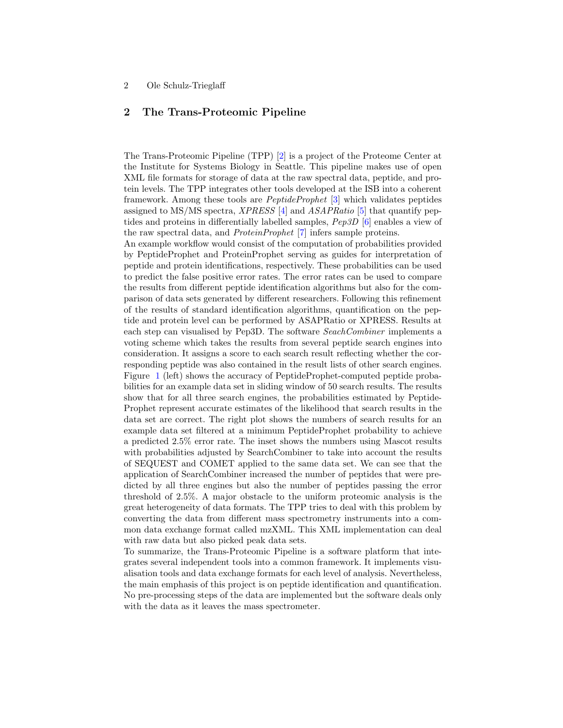### 2 Ole Schulz-Trieglaff

## 2 The Trans-Proteomic Pipeline

The Trans-Proteomic Pipeline (TPP) [\[2\]](#page-3-1) is a project of the Proteome Center at the Institute for Systems Biology in Seattle. This pipeline makes use of open XML file formats for storage of data at the raw spectral data, peptide, and protein levels. The TPP integrates other tools developed at the ISB into a coherent framework. Among these tools are PeptideProphet [\[3\]](#page-3-2) which validates peptides assigned to MS/MS spectra, *XPRESS* [\[4\]](#page-3-3) and *ASAPRatio* [\[5\]](#page-3-4) that quantify peptides and proteins in differentially labelled samples, Pep3D [\[6\]](#page-3-5) enables a view of the raw spectral data, and ProteinProphet [\[7\]](#page-3-6) infers sample proteins.

An example workflow would consist of the computation of probabilities provided by PeptideProphet and ProteinProphet serving as guides for interpretation of peptide and protein identifications, respectively. These probabilities can be used to predict the false positive error rates. The error rates can be used to compare the results from different peptide identification algorithms but also for the comparison of data sets generated by different researchers. Following this refinement of the results of standard identification algorithms, quantification on the peptide and protein level can be performed by ASAPRatio or XPRESS. Results at each step can visualised by Pep3D. The software SeachCombiner implements a voting scheme which takes the results from several peptide search engines into consideration. It assigns a score to each search result reflecting whether the corresponding peptide was also contained in the result lists of other search engines. Figure [1](#page-2-0) (left) shows the accuracy of PeptideProphet-computed peptide probabilities for an example data set in sliding window of 50 search results. The results show that for all three search engines, the probabilities estimated by Peptide-Prophet represent accurate estimates of the likelihood that search results in the data set are correct. The right plot shows the numbers of search results for an example data set filtered at a minimum PeptideProphet probability to achieve a predicted 2.5% error rate. The inset shows the numbers using Mascot results with probabilities adjusted by SearchCombiner to take into account the results of SEQUEST and COMET applied to the same data set. We can see that the application of SearchCombiner increased the number of peptides that were predicted by all three engines but also the number of peptides passing the error threshold of 2.5%. A major obstacle to the uniform proteomic analysis is the great heterogeneity of data formats. The TPP tries to deal with this problem by converting the data from different mass spectrometry instruments into a common data exchange format called mzXML. This XML implementation can deal with raw data but also picked peak data sets.

To summarize, the Trans-Proteomic Pipeline is a software platform that integrates several independent tools into a common framework. It implements visualisation tools and data exchange formats for each level of analysis. Nevertheless, the main emphasis of this project is on peptide identification and quantification. No pre-processing steps of the data are implemented but the software deals only with the data as it leaves the mass spectrometer.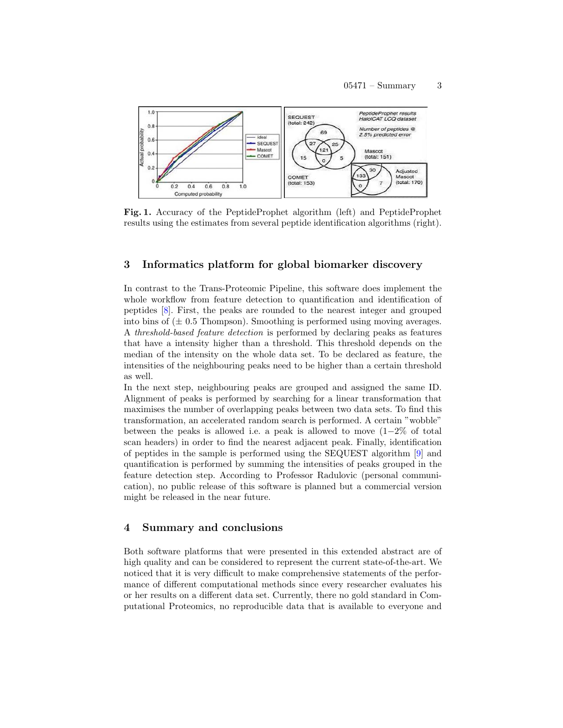

<span id="page-2-0"></span>Fig. 1. Accuracy of the PeptideProphet algorithm (left) and PeptideProphet results using the estimates from several peptide identification algorithms (right).

## 3 Informatics platform for global biomarker discovery

In contrast to the Trans-Proteomic Pipeline, this software does implement the whole workflow from feature detection to quantification and identification of peptides [\[8\]](#page-3-7). First, the peaks are rounded to the nearest integer and grouped into bins of  $(\pm 0.5$  Thompson). Smoothing is performed using moving averages. A threshold-based feature detection is performed by declaring peaks as features that have a intensity higher than a threshold. This threshold depends on the median of the intensity on the whole data set. To be declared as feature, the intensities of the neighbouring peaks need to be higher than a certain threshold as well.

In the next step, neighbouring peaks are grouped and assigned the same ID. Alignment of peaks is performed by searching for a linear transformation that maximises the number of overlapping peaks between two data sets. To find this transformation, an accelerated random search is performed. A certain "wobble" between the peaks is allowed i.e. a peak is allowed to move  $(1-2\% \text{ of total})$ scan headers) in order to find the nearest adjacent peak. Finally, identification of peptides in the sample is performed using the SEQUEST algorithm [\[9\]](#page-3-8) and quantification is performed by summing the intensities of peaks grouped in the feature detection step. According to Professor Radulovic (personal communication), no public release of this software is planned but a commercial version might be released in the near future.

#### 4 Summary and conclusions

Both software platforms that were presented in this extended abstract are of high quality and can be considered to represent the current state-of-the-art. We noticed that it is very difficult to make comprehensive statements of the performance of different computational methods since every researcher evaluates his or her results on a different data set. Currently, there no gold standard in Computational Proteomics, no reproducible data that is available to everyone and